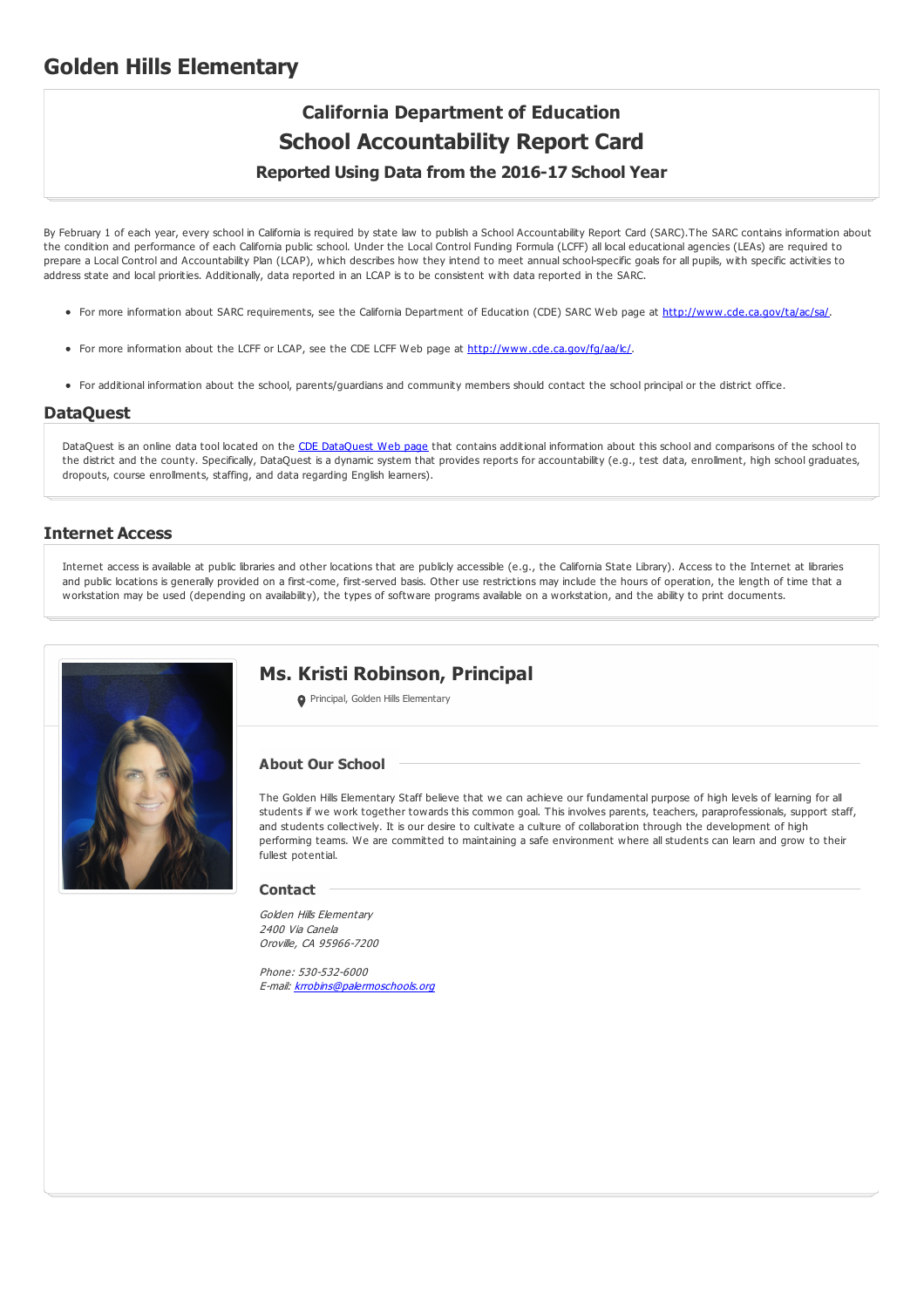## **Golden Hills Elementary**

# **California Department of Education School Accountability Report Card**

### **Reported Using Data from the 2016-17 School Year**

By February 1 of each year, every school in California is required by state law to publish a School Accountability Report Card (SARC).The SARC contains information about the condition and performance of each California public school. Under the Local Control Funding Formula (LCFF) all local educational agencies (LEAs) are required to prepare a Local Control and Accountability Plan (LCAP), which describes how they intend to meet annual school-specific goals for all pupils, with specific activities to address state and local priorities. Additionally, data reported in an LCAP is to be consistent with data reported in the SARC.

- For more information about SARC requirements, see the California Department of Education (CDE) SARC Web page at <http://www.cde.ca.gov/ta/ac/sa/>.
- For more information about the LCFF or LCAP, see the CDE LCFF Web page at <http://www.cde.ca.gov/fg/aa/lc/>.
- For additional information about the school, parents/guardians and community members should contact the school principal or the district office.

#### **DataQuest**

[DataQuest](http://dq.cde.ca.gov/dataquest/) is an online data tool located on the CDE DataQuest Web page that contains additional information about this school and comparisons of the school to the district and the county. Specifically, DataQuest is a dynamic system that provides reports for accountability (e.g., test data, enrollment, high school graduates, dropouts, course enrollments, staffing, and data regarding English learners).

#### **Internet Access**

Internet access is available at public libraries and other locations that are publicly accessible (e.g., the California State Library). Access to the Internet at libraries and public locations is generally provided on a first-come, first-served basis. Other use restrictions may include the hours of operation, the length of time that a workstation may be used (depending on availability), the types of software programs available on a workstation, and the ability to print documents.



## **Ms. Kristi Robinson, Principal**

**O** Principal, Golden Hills Elementary

#### **About Our School**

The Golden Hills Elementary Staff believe that we can achieve our fundamental purpose of high levels of learning for all students if we work together towards this common goal. This involves parents, teachers, paraprofessionals, support staff, and students collectively. It is our desire to cultivate a culture of collaboration through the development of high performing teams. We are committed to maintaining a safe environment where all students can learn and grow to their fullest potential.

#### **Contact**

Golden Hills Elementary 2400 Via Canela Oroville, CA 95966-7200

Phone: 530-532-6000 E-mail: [krrobins@palermoschools.org](mailto:krrobins@palermoschools.org)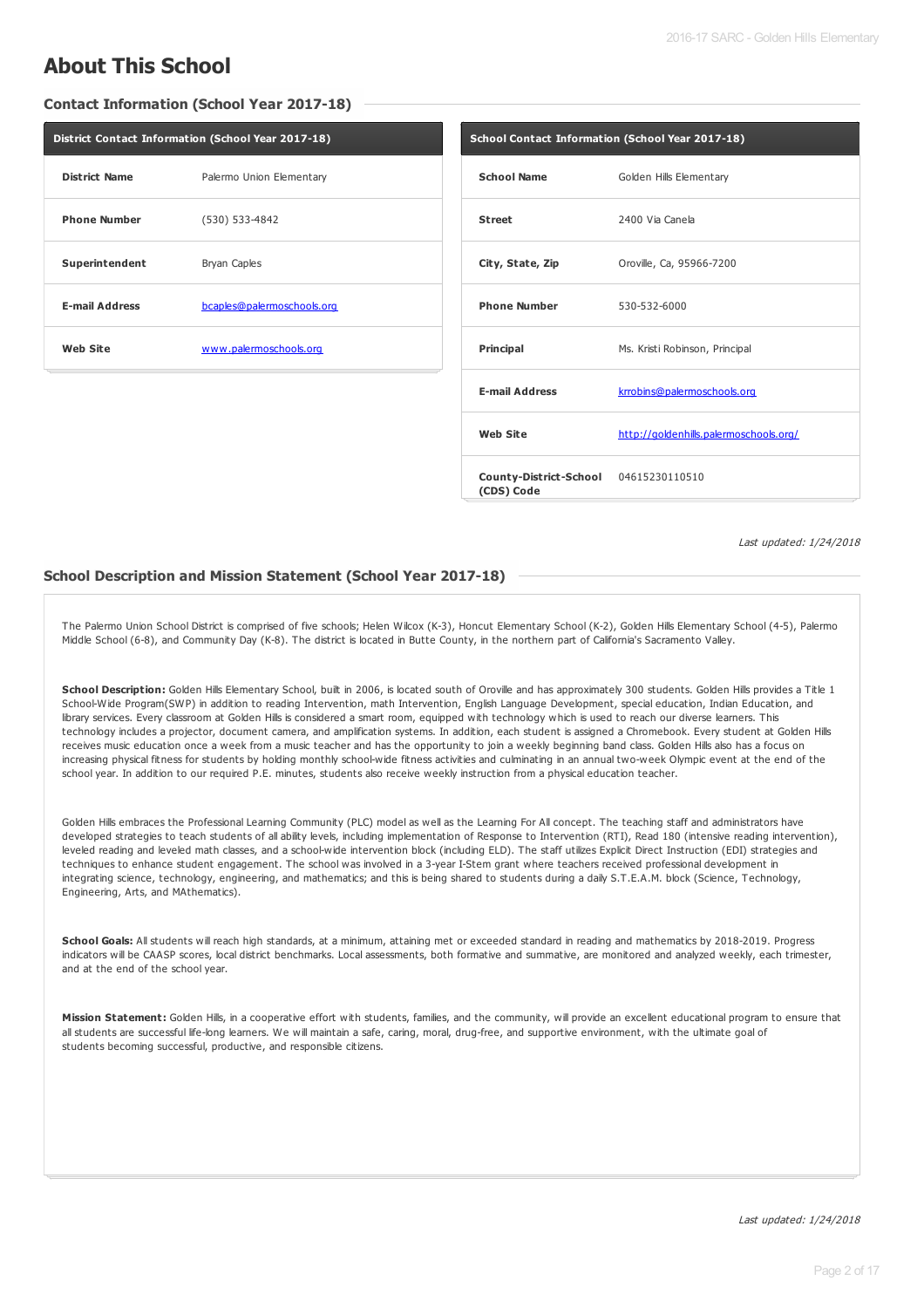## **About This School**

#### **Contact Information (School Year 2017-18)**

|                       | District Contact Information (School Year 2017-18) |                       | School Contact Information (School Year 2017-18) |
|-----------------------|----------------------------------------------------|-----------------------|--------------------------------------------------|
| <b>District Name</b>  | Palermo Union Elementary                           | <b>School Name</b>    | Golden Hills Elementary                          |
| <b>Phone Number</b>   | (530) 533-4842                                     | <b>Street</b>         | 2400 Via Canela                                  |
| Superintendent        | Bryan Caples                                       | City, State, Zip      | Oroville, Ca, 95966-7200                         |
| <b>E-mail Address</b> | bcaples@palermoschools.org                         | <b>Phone Number</b>   | 530-532-6000                                     |
| <b>Web Site</b>       | www.palermoschools.org                             | Principal             | Ms. Kristi Robinson, Principal                   |
|                       |                                                    | <b>E-mail Address</b> | krrobins@palermoschools.org                      |
|                       |                                                    | <b>Web Site</b>       | http://goldenhills.palermoschools.org/           |
|                       |                                                    |                       |                                                  |

Last updated: 1/24/2018

#### **School Description and Mission Statement (School Year 2017-18)**

The Palermo Union School District is comprised of five schools; Helen Wilcox (K-3), Honcut Elementary School (K-2), Golden Hills Elementary School (4-5), Palermo Middle School (6-8), and Community Day (K-8). The district is located in Butte County, in the northern part of California's Sacramento Valley.

**(CDS) Code**

**County-District-School** 04615230110510

School Description: Golden Hills Elementary School, built in 2006, is located south of Oroville and has approximately 300 students. Golden Hills provides a Title 1 School-Wide Program(SWP) in addition to reading Intervention, math Intervention, English Language Development, special education, Indian Education, and library services. Every classroom at Golden Hills is considered a smart room, equipped with technology which is used to reach our diverse learners. This technology includes a projector, document camera, and amplification systems. In addition, each student is assigned a Chromebook. Every student at Golden Hills receives music education once a week from a music teacher and has the opportunity to join a weekly beginning band class. Golden Hills also has a focus on increasing physical fitness for students by holding monthly school-wide fitness activities and culminating in an annual two-week Olympic event at the end of the school year. In addition to our required P.E. minutes, students also receive weekly instruction from a physical education teacher.

Golden Hills embraces the Professional Learning Community (PLC) model as well as the Learning For All concept. The teaching staff and administrators have developed strategies to teach students of all ability levels, including implementation of Response to Intervention (RTI), Read 180 (intensive reading intervention), leveled reading and leveled math classes, and a school-wide intervention block (including ELD). The staff utilizes Explicit Direct Instruction (EDI) strategies and techniques to enhance student engagement. The school was involved in a 3-year I-Stem grant where teachers received professional development in integrating science, technology, engineering, and mathematics; and this is being shared to students during a daily S.T.E.A.M. block (Science, Technology, Engineering, Arts, and MAthematics).

**School Goals:** All students will reach high standards, at a minimum, attaining met or exceeded standard in reading and mathematics by 2018-2019. Progress indicators will be CAASP scores, local district benchmarks. Local assessments, both formative and summative, are monitored and analyzed weekly, each trimester, and at the end of the school year.

**Mission Statement:** Golden Hills, in a cooperative effort with students, families, and the community, will provide an excellent educational program to ensure that all students are successful life-long learners. We will maintain a safe, caring, moral, drug-free, and supportive environment, with the ultimate goal of students becoming successful, productive, and responsible citizens.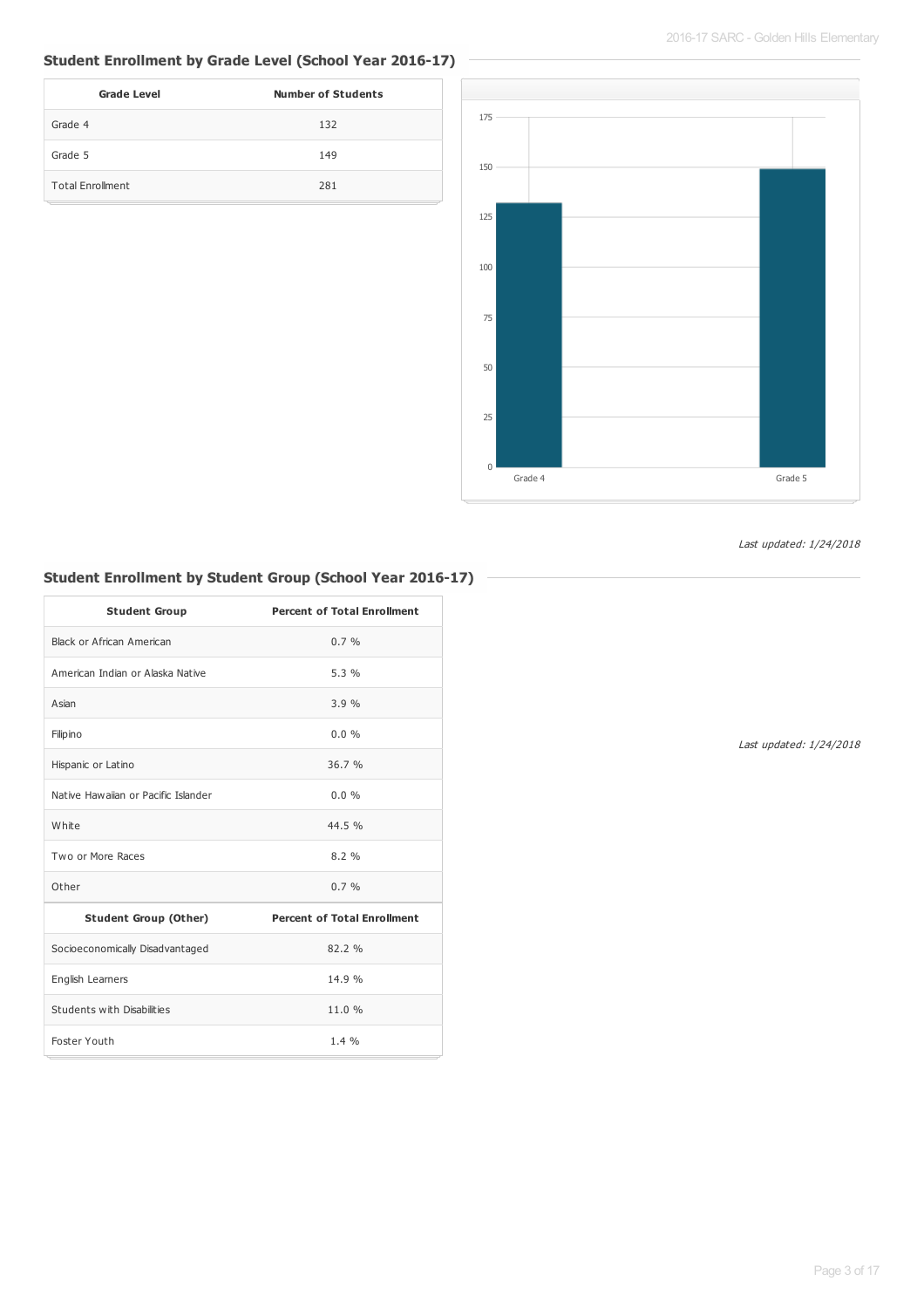#### **Student Enrollment by Grade Level (School Year 2016-17)**

| <b>Grade Level</b>      | <b>Number of Students</b> |
|-------------------------|---------------------------|
| Grade 4                 | 132                       |
| Grade 5                 | 149                       |
| <b>Total Enrollment</b> | 281                       |



#### Last updated: 1/24/2018

## **Student Enrollment by Student Group (School Year 2016-17)**

| <b>Student Group</b>                | <b>Percent of Total Enrollment</b> |
|-------------------------------------|------------------------------------|
| Black or African American           | $0.7 \%$                           |
| American Indian or Alaska Native    | 5.3%                               |
| Asian                               | 3.9%                               |
| Filipino                            | 0.0%                               |
| Hispanic or Latino                  | 36.7%                              |
| Native Hawaijan or Pacific Islander | $0.0\%$                            |
| White                               | 44.5 %                             |
| Two or More Races                   | 8.2%                               |
| Other                               | $0.7 \%$                           |
| <b>Student Group (Other)</b>        | <b>Percent of Total Enrollment</b> |
| Socioeconomically Disadvantaged     | 82.2 %                             |
| English Learners                    | 14.9 %                             |
| Students with Disabilities          | 11.0 %                             |
| Foster Youth                        | 1.4%                               |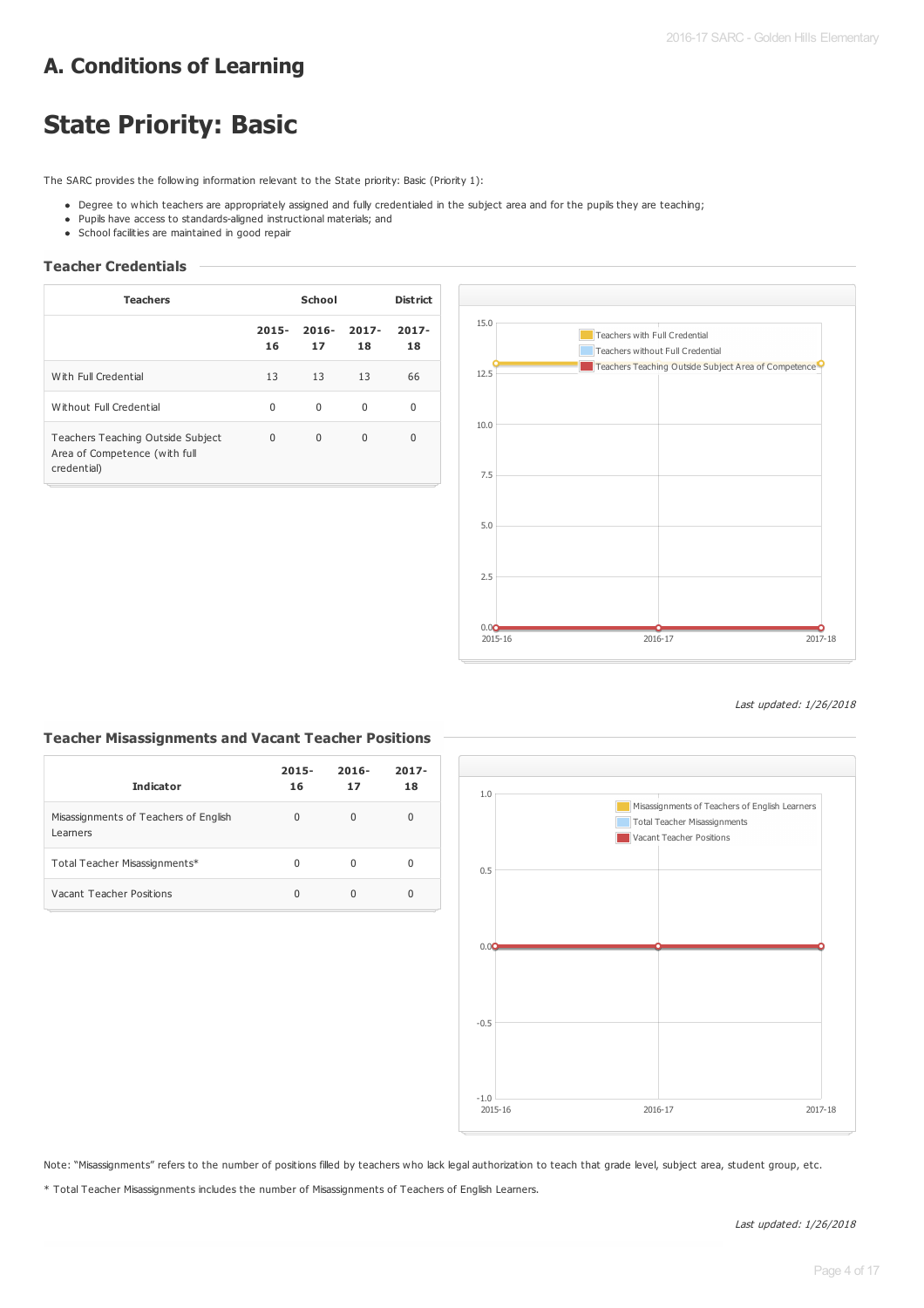# **A. Conditions of Learning**

# **State Priority: Basic**

The SARC provides the following information relevant to the State priority: Basic (Priority 1):

- Degree to which teachers are appropriately assigned and fully credentialed in the subject area and for the pupils they are teaching;
- Pupils have access to standards-aligned instructional materials; and
- School facilities are maintained in good repair

### **Teacher Credentials**

| <b>Teachers</b>                                                                   | School         |                | <b>District</b> |                |
|-----------------------------------------------------------------------------------|----------------|----------------|-----------------|----------------|
|                                                                                   | $2015 -$<br>16 | $2016 -$<br>17 | $2017 -$<br>18  | $2017 -$<br>18 |
| With Full Credential                                                              | 13             | 13             | 13              | 66             |
| Without Full Credential                                                           | $\Omega$       | $\Omega$       | 0               | 0              |
| Teachers Teaching Outside Subject<br>Area of Competence (with full<br>credential) | 0              | $\Omega$       | 0               | 0              |



Last updated: 1/26/2018

#### **Teacher Misassignments and Vacant Teacher Positions**

| <b>Indicator</b>                                  | $2015 -$<br>16 | $2016 -$<br>17 | $2017 -$<br>18 |
|---------------------------------------------------|----------------|----------------|----------------|
| Misassignments of Teachers of English<br>Learners | 0              | U              | 0              |
| Total Teacher Misassignments*                     | 0              | O              | 0              |
| Vacant Teacher Positions                          | 0              |                | 0              |



Note: "Misassignments" refers to the number of positions filled by teachers who lack legal authorization to teach that grade level, subject area, student group, etc.

\* Total Teacher Misassignments includes the number of Misassignments of Teachers of English Learners.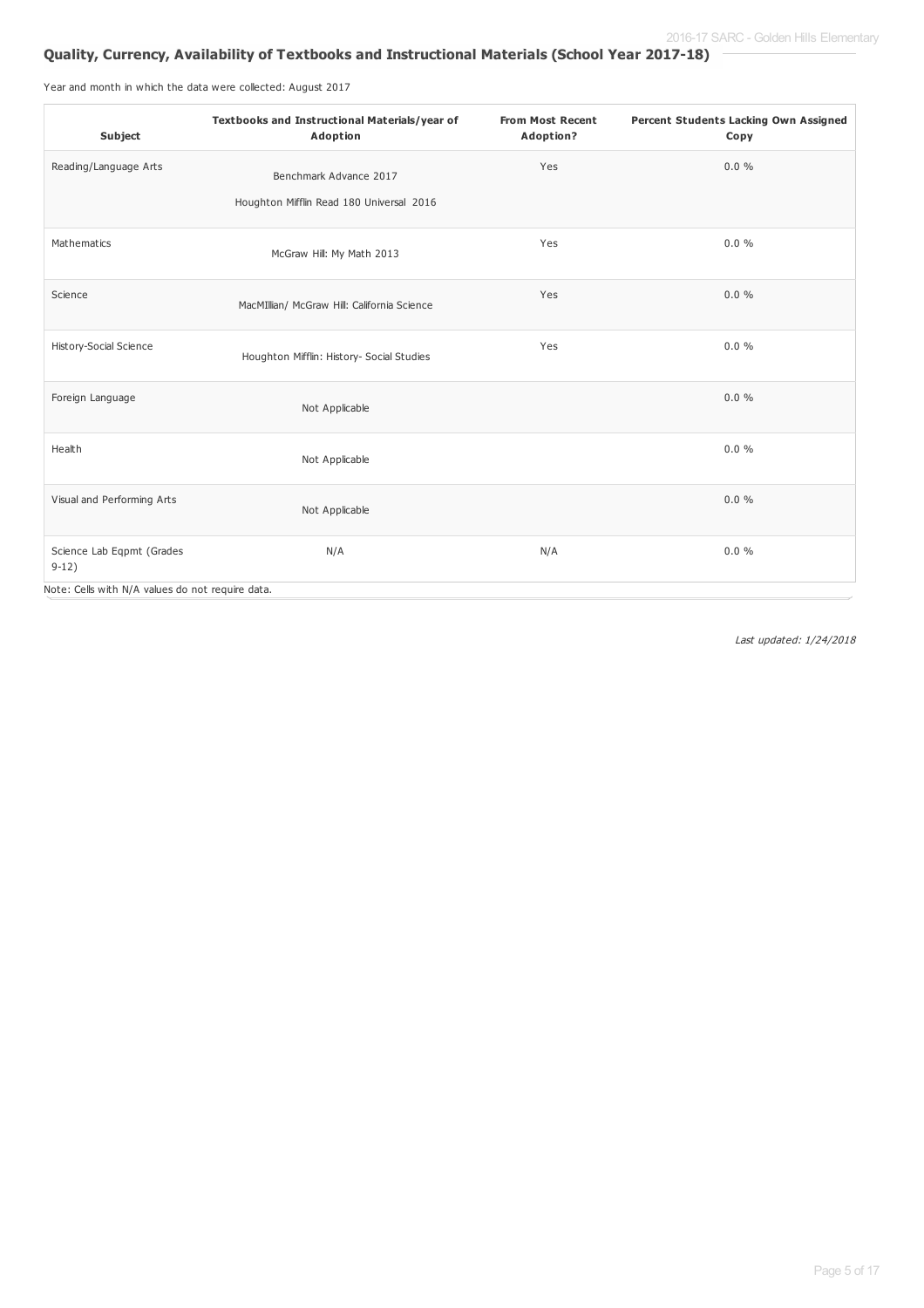### **Quality, Currency, Availability of Textbooks and Instructional Materials (School Year 2017-18)**

Year and month in which the data were collected: August 2017

| Subject                                          | Textbooks and Instructional Materials/year of<br>Adoption          | <b>From Most Recent</b><br>Adoption? | Percent Students Lacking Own Assigned<br>Copy |
|--------------------------------------------------|--------------------------------------------------------------------|--------------------------------------|-----------------------------------------------|
| Reading/Language Arts                            | Benchmark Advance 2017<br>Houghton Mifflin Read 180 Universal 2016 | Yes                                  | $0.0 \%$                                      |
| Mathematics                                      | McGraw Hill: My Math 2013                                          | Yes                                  | $0.0 \%$                                      |
| Science                                          | MacMIllian/ McGraw Hill: California Science                        | Yes                                  | $0.0 \%$                                      |
| History-Social Science                           | Houghton Mifflin: History- Social Studies                          | Yes                                  | $0.0 \%$                                      |
| Foreign Language                                 | Not Applicable                                                     |                                      | $0.0 \%$                                      |
| Health                                           | Not Applicable                                                     |                                      | 0.0%                                          |
| Visual and Performing Arts                       | Not Applicable                                                     |                                      | $0.0 \%$                                      |
| Science Lab Eqpmt (Grades<br>$9-12)$             | N/A                                                                | N/A                                  | $0.0 \%$                                      |
| Note: Cells with N/A values do not require data. |                                                                    |                                      |                                               |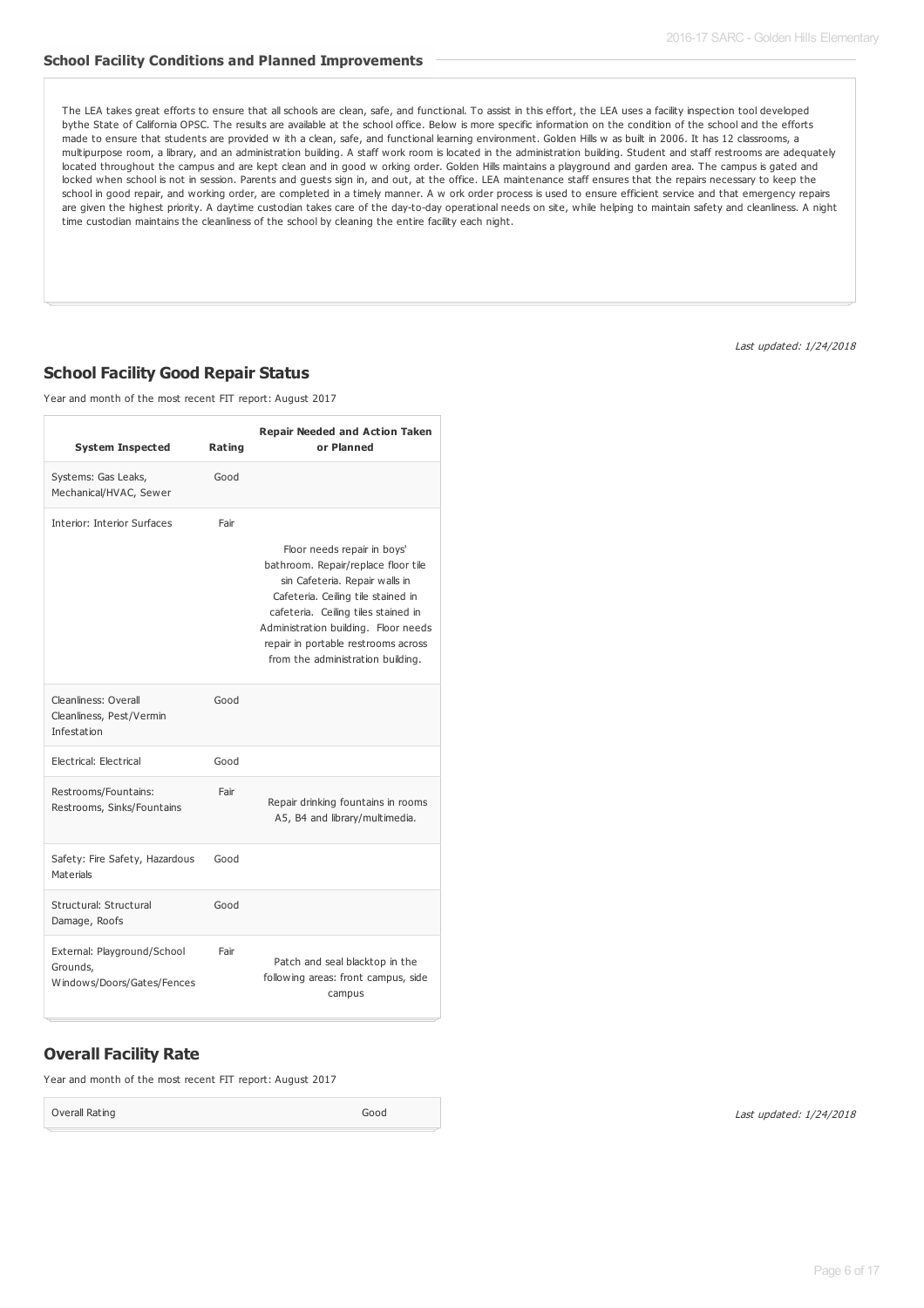#### **School Facility Conditions and Planned Improvements**

The LEA takes great efforts to ensure that all schools are clean, safe, and functional. To assist in this effort, the LEA uses a facility inspection tool developed bythe State of California OPSC. The results are available at the school office. Below is more specific information on the condition of the school and the efforts made to ensure that students are provided w ith a clean, safe, and functional learning environment. Golden Hills w as built in 2006. It has 12 classrooms, a multipurpose room, a library, and an administration building. A staff work room is located in the administration building. Student and staff restrooms are adequately located throughout the campus and are kept clean and in good w orking order. Golden Hills maintains a playground and garden area. The campus is gated and locked when school is not in session. Parents and guests sign in, and out, at the office. LEA maintenance staff ensures that the repairs necessary to keep the school in good repair, and working order, are completed in a timely manner. A w ork order process is used to ensure efficient service and that emergency repairs are given the highest priority. A daytime custodian takes care of the day-to-day operational needs on site, while helping to maintain safety and cleanliness. A night time custodian maintains the cleanliness of the school by cleaning the entire facility each night.

Last updated: 1/24/2018

### **School Facility Good Repair Status**

Year and month of the most recent FIT report: August 2017

| <b>System Inspected</b>                                               | Rating | <b>Repair Needed and Action Taken</b><br>or Planned                                                                                                                                                                                                                                                   |
|-----------------------------------------------------------------------|--------|-------------------------------------------------------------------------------------------------------------------------------------------------------------------------------------------------------------------------------------------------------------------------------------------------------|
| Systems: Gas Leaks,<br>Mechanical/HVAC, Sewer                         | Good   |                                                                                                                                                                                                                                                                                                       |
| Interior: Interior Surfaces                                           | Fair   | Floor needs repair in boys'<br>bathroom. Repair/replace floor tile<br>sin Cafeteria. Repair walls in<br>Cafeteria. Ceiling tile stained in<br>cafeteria. Ceiling tiles stained in<br>Administration building. Floor needs<br>repair in portable restrooms across<br>from the administration building. |
| Cleanliness: Overall<br>Cleanliness, Pest/Vermin<br>Infestation       | Good   |                                                                                                                                                                                                                                                                                                       |
| Electrical: Electrical                                                | Good   |                                                                                                                                                                                                                                                                                                       |
| Restrooms/Fountains:<br>Restrooms, Sinks/Fountains                    | Fair   | Repair drinking fountains in rooms<br>A5, B4 and library/multimedia.                                                                                                                                                                                                                                  |
| Safety: Fire Safety, Hazardous<br>Materials                           | Good   |                                                                                                                                                                                                                                                                                                       |
| Structural: Structural<br>Damage, Roofs                               | Good   |                                                                                                                                                                                                                                                                                                       |
| External: Playground/School<br>Grounds,<br>Windows/Doors/Gates/Fences | Fair   | Patch and seal blacktop in the<br>following areas: front campus, side<br>campus                                                                                                                                                                                                                       |

### **Overall Facility Rate**

Year and month of the most recent FIT report: August 2017

Overall Rating Good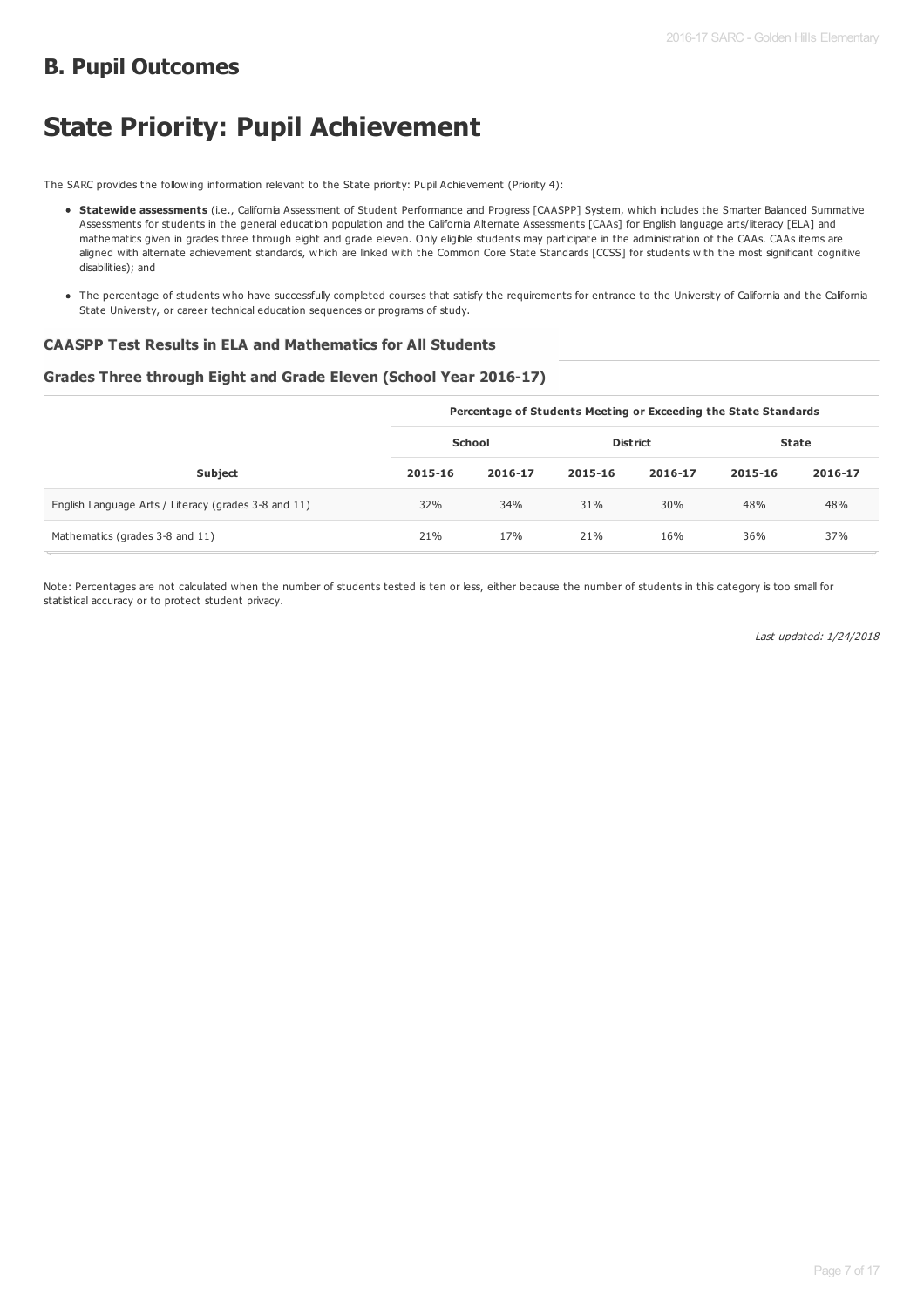# **B. Pupil Outcomes**

# **State Priority: Pupil Achievement**

The SARC provides the following information relevant to the State priority: Pupil Achievement (Priority 4):

- **Statewide assessments** (i.e., California Assessment of Student Performance and Progress [CAASPP] System, which includes the Smarter Balanced Summative Assessments for students in the general education population and the California Alternate Assessments [CAAs] for English language arts/literacy [ELA] and mathematics given in grades three through eight and grade eleven. Only eligible students may participate in the administration of the CAAs. CAAs items are aligned with alternate achievement standards, which are linked with the Common Core State Standards [CCSS] for students with the most significant cognitive disabilities); and
- The percentage of students who have successfully completed courses that satisfy the requirements for entrance to the University of California and the California State University, or career technical education sequences or programs of study.

#### **CAASPP Test Results in ELA and Mathematics for All Students**

#### **Grades Three through Eight and Grade Eleven (School Year 2016-17)**

|                                                      | Percentage of Students Meeting or Exceeding the State Standards |         |                 |         |         |         |  |
|------------------------------------------------------|-----------------------------------------------------------------|---------|-----------------|---------|---------|---------|--|
|                                                      | School                                                          |         | <b>District</b> |         | State   |         |  |
| <b>Subject</b>                                       | 2015-16                                                         | 2016-17 | 2015-16         | 2016-17 | 2015-16 | 2016-17 |  |
| English Language Arts / Literacy (grades 3-8 and 11) | 32%                                                             | 34%     | 31%             | 30%     | 48%     | 48%     |  |
| Mathematics (grades 3-8 and 11)                      | 21%                                                             | 17%     | 21%             | 16%     | 36%     | 37%     |  |

Note: Percentages are not calculated when the number of students tested is ten or less, either because the number of students in this category is too small for statistical accuracy or to protect student privacy.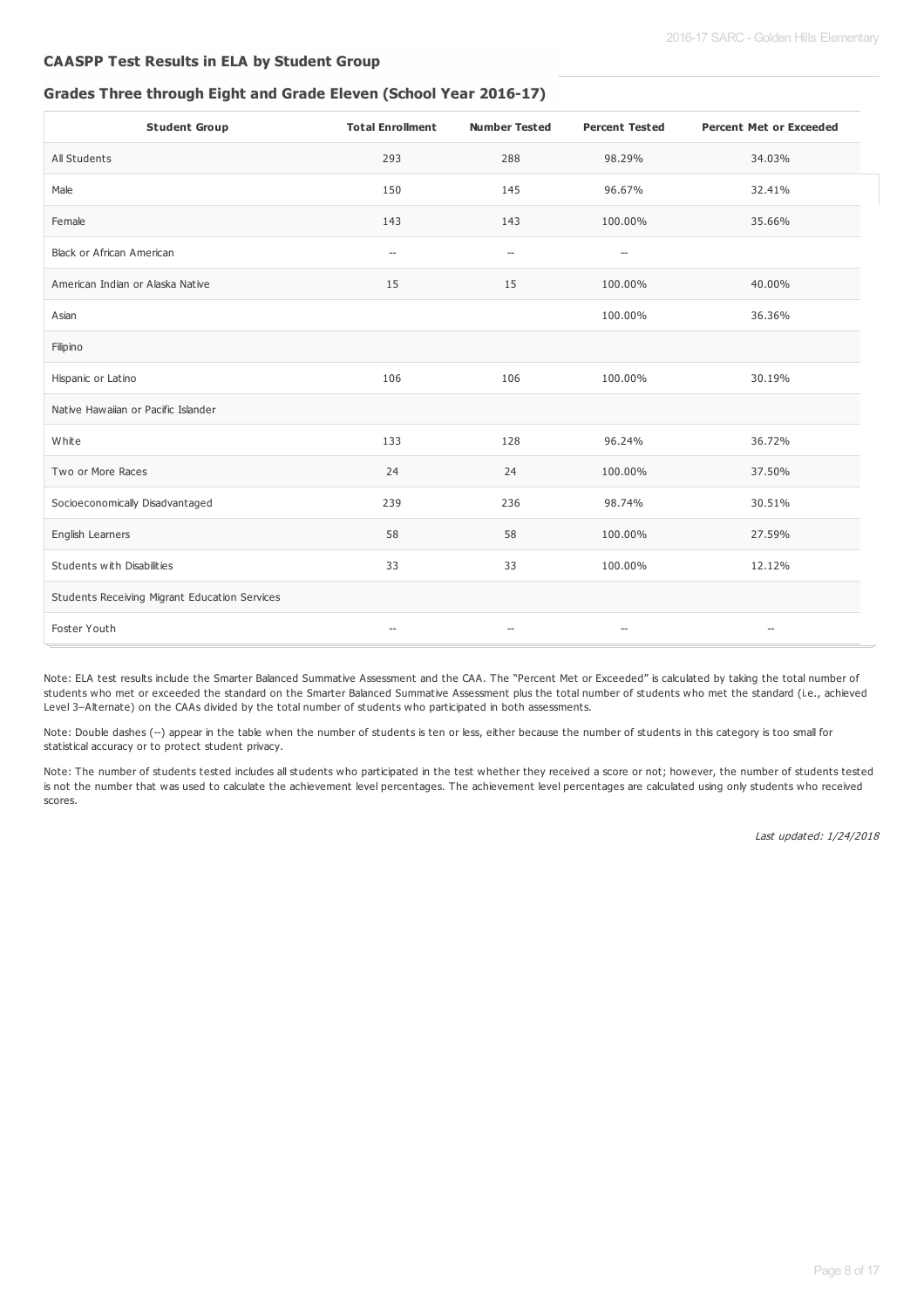#### **CAASPP Test Results in ELA by Student Group**

#### **Grades Three through Eight and Grade Eleven (School Year 2016-17)**

| <b>Student Group</b>                          | <b>Total Enrollment</b>                             | <b>Number Tested</b>                                | <b>Percent Tested</b>                               | <b>Percent Met or Exceeded</b>     |
|-----------------------------------------------|-----------------------------------------------------|-----------------------------------------------------|-----------------------------------------------------|------------------------------------|
| All Students                                  | 293                                                 | 288                                                 | 98.29%                                              | 34.03%                             |
| Male                                          | 150                                                 | 145                                                 | 96.67%                                              | 32.41%                             |
| Female                                        | 143                                                 | 143                                                 | 100.00%                                             | 35.66%                             |
| Black or African American                     | $\hspace{0.05cm} -\hspace{0.05cm}$                  | $\hspace{0.05cm} -\hspace{0.05cm} -\hspace{0.05cm}$ | $-\!$                                               |                                    |
| American Indian or Alaska Native              | 15                                                  | 15                                                  | 100.00%                                             | 40.00%                             |
| Asian                                         |                                                     |                                                     | 100.00%                                             | 36.36%                             |
| Filipino                                      |                                                     |                                                     |                                                     |                                    |
| Hispanic or Latino                            | 106                                                 | 106                                                 | 100.00%                                             | 30.19%                             |
| Native Hawaiian or Pacific Islander           |                                                     |                                                     |                                                     |                                    |
| White                                         | 133                                                 | 128                                                 | 96.24%                                              | 36.72%                             |
| Two or More Races                             | 24                                                  | 24                                                  | 100.00%                                             | 37.50%                             |
| Socioeconomically Disadvantaged               | 239                                                 | 236                                                 | 98.74%                                              | 30.51%                             |
| English Learners                              | 58                                                  | 58                                                  | 100.00%                                             | 27.59%                             |
| Students with Disabilities                    | 33                                                  | 33                                                  | 100.00%                                             | 12.12%                             |
| Students Receiving Migrant Education Services |                                                     |                                                     |                                                     |                                    |
| Foster Youth                                  | $\hspace{0.05cm} -\hspace{0.05cm} -\hspace{0.05cm}$ | $\overline{\phantom{a}}$                            | $\hspace{0.05cm} -\hspace{0.05cm} -\hspace{0.05cm}$ | $\hspace{0.05cm} -\hspace{0.05cm}$ |

Note: ELA test results include the Smarter Balanced Summative Assessment and the CAA. The "Percent Met or Exceeded" is calculated by taking the total number of students who met or exceeded the standard on the Smarter Balanced Summative Assessment plus the total number of students who met the standard (i.e., achieved Level 3–Alternate) on the CAAs divided by the total number of students who participated in both assessments.

Note: Double dashes (--) appear in the table when the number of students is ten or less, either because the number of students in this category is too small for statistical accuracy or to protect student privacy.

Note: The number of students tested includes all students who participated in the test whether they received a score or not; however, the number of students tested is not the number that was used to calculate the achievement level percentages. The achievement level percentages are calculated using only students who received scores.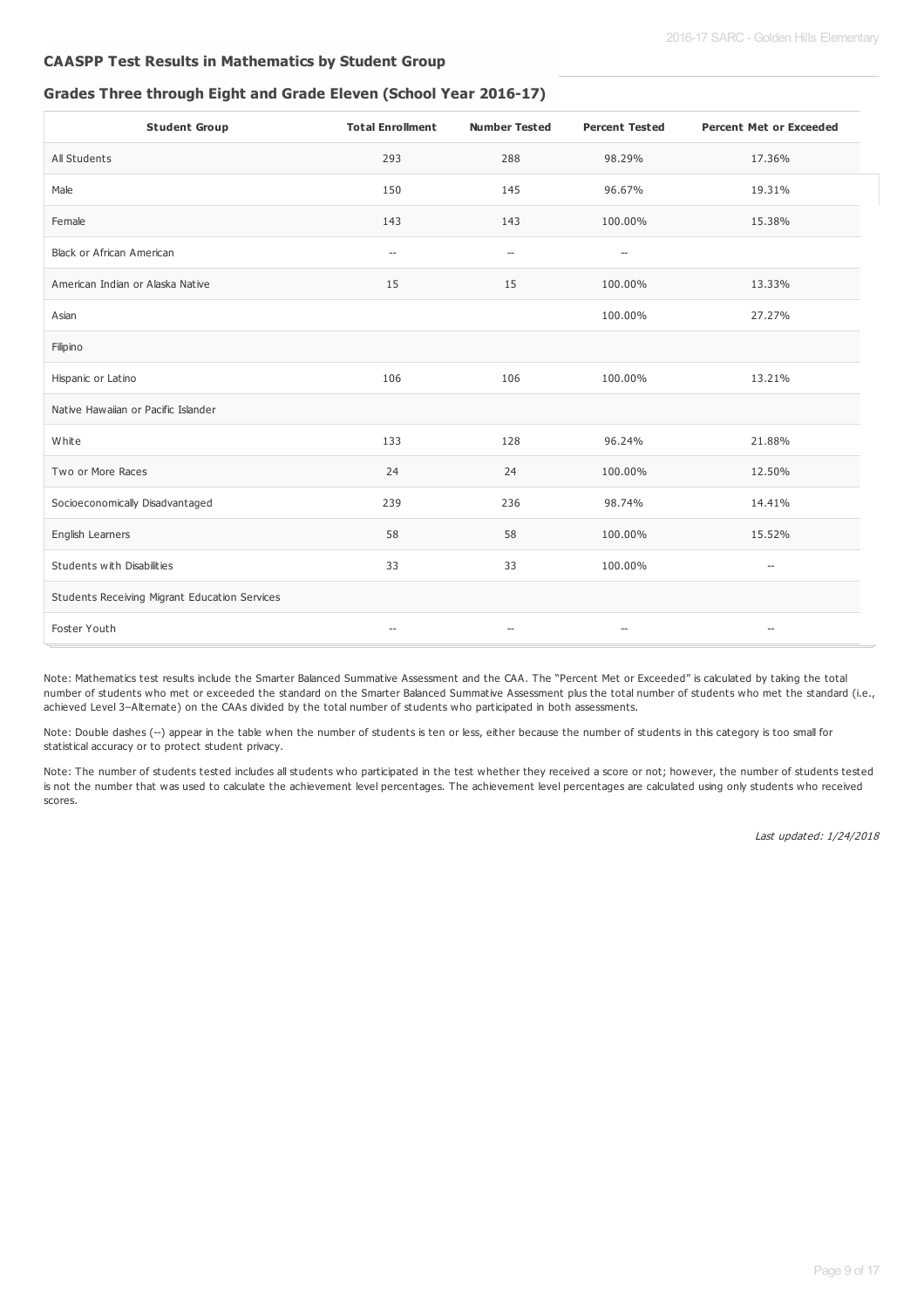#### **CAASPP Test Results in Mathematics by Student Group**

#### **Grades Three through Eight and Grade Eleven (School Year 2016-17)**

| <b>Student Group</b>                          | <b>Total Enrollment</b>                             | <b>Number Tested</b>                                | <b>Percent Tested</b>    | <b>Percent Met or Exceeded</b>                      |
|-----------------------------------------------|-----------------------------------------------------|-----------------------------------------------------|--------------------------|-----------------------------------------------------|
| All Students                                  | 293                                                 | 288                                                 | 98.29%                   | 17.36%                                              |
| Male                                          | 150                                                 | 145                                                 | 96.67%                   | 19.31%                                              |
| Female                                        | 143                                                 | 143                                                 | 100.00%                  | 15.38%                                              |
| Black or African American                     | $\hspace{0.05cm} -\hspace{0.05cm}$                  | $\hspace{0.05cm} -\hspace{0.05cm} -\hspace{0.05cm}$ | $\overline{\phantom{a}}$ |                                                     |
| American Indian or Alaska Native              | 15                                                  | 15                                                  | 100.00%                  | 13.33%                                              |
| Asian                                         |                                                     |                                                     | 100.00%                  | 27.27%                                              |
| Filipino                                      |                                                     |                                                     |                          |                                                     |
| Hispanic or Latino                            | 106                                                 | 106                                                 | 100.00%                  | 13.21%                                              |
| Native Hawaiian or Pacific Islander           |                                                     |                                                     |                          |                                                     |
| White                                         | 133                                                 | 128                                                 | 96.24%                   | 21.88%                                              |
| Two or More Races                             | 24                                                  | 24                                                  | 100.00%                  | 12.50%                                              |
| Socioeconomically Disadvantaged               | 239                                                 | 236                                                 | 98.74%                   | 14.41%                                              |
| English Learners                              | 58                                                  | 58                                                  | 100.00%                  | 15.52%                                              |
| Students with Disabilities                    | 33                                                  | 33                                                  | 100.00%                  | $\hspace{0.05cm} -\hspace{0.05cm} -\hspace{0.05cm}$ |
| Students Receiving Migrant Education Services |                                                     |                                                     |                          |                                                     |
| Foster Youth                                  | $\hspace{0.05cm} -\hspace{0.05cm} -\hspace{0.05cm}$ | $\overline{\phantom{a}}$                            | $\qquad \qquad -$        | $\hspace{0.05cm} -\hspace{0.05cm} -\hspace{0.05cm}$ |

Note: Mathematics test results include the Smarter Balanced Summative Assessment and the CAA. The "Percent Met or Exceeded" is calculated by taking the total number of students who met or exceeded the standard on the Smarter Balanced Summative Assessment plus the total number of students who met the standard (i.e., achieved Level 3–Alternate) on the CAAs divided by the total number of students who participated in both assessments.

Note: Double dashes (--) appear in the table when the number of students is ten or less, either because the number of students in this category is too small for statistical accuracy or to protect student privacy.

Note: The number of students tested includes all students who participated in the test whether they received a score or not; however, the number of students tested is not the number that was used to calculate the achievement level percentages. The achievement level percentages are calculated using only students who received scores.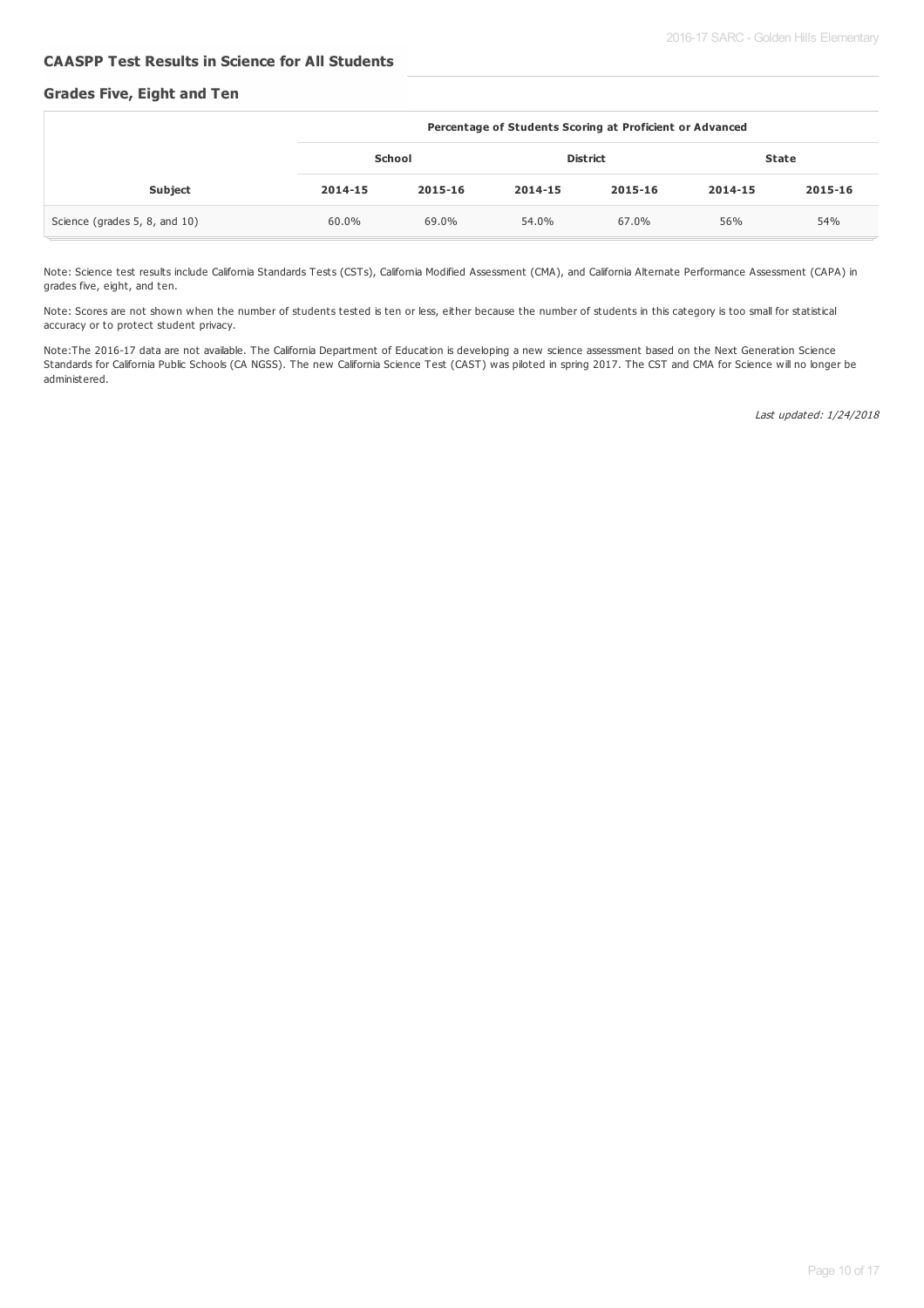#### **CAASPP Test Results in Science for All Students**

#### **Grades Five, Eight and Ten**

|                               | Percentage of Students Scoring at Proficient or Advanced |         |                 |         |         |              |
|-------------------------------|----------------------------------------------------------|---------|-----------------|---------|---------|--------------|
|                               | School                                                   |         | <b>District</b> |         |         | <b>State</b> |
| Subject                       | 2014-15                                                  | 2015-16 | 2014-15         | 2015-16 | 2014-15 | 2015-16      |
| Science (grades 5, 8, and 10) | 60.0%                                                    | 69.0%   | 54.0%           | 67.0%   | 56%     | 54%          |

Note: Science test results include California Standards Tests (CSTs), California Modified Assessment (CMA), and California Alternate Performance Assessment (CAPA) in grades five, eight, and ten.

Note: Scores are not shown when the number of students tested is ten or less, either because the number of students in this category is too small for statistical accuracy or to protect student privacy.

Note:The 2016-17 data are not available. The California Department of Education is developing a new science assessment based on the Next Generation Science Standards for California Public Schools (CA NGSS). The new California Science Test (CAST) was piloted in spring 2017. The CST and CMA for Science will no longer be administered.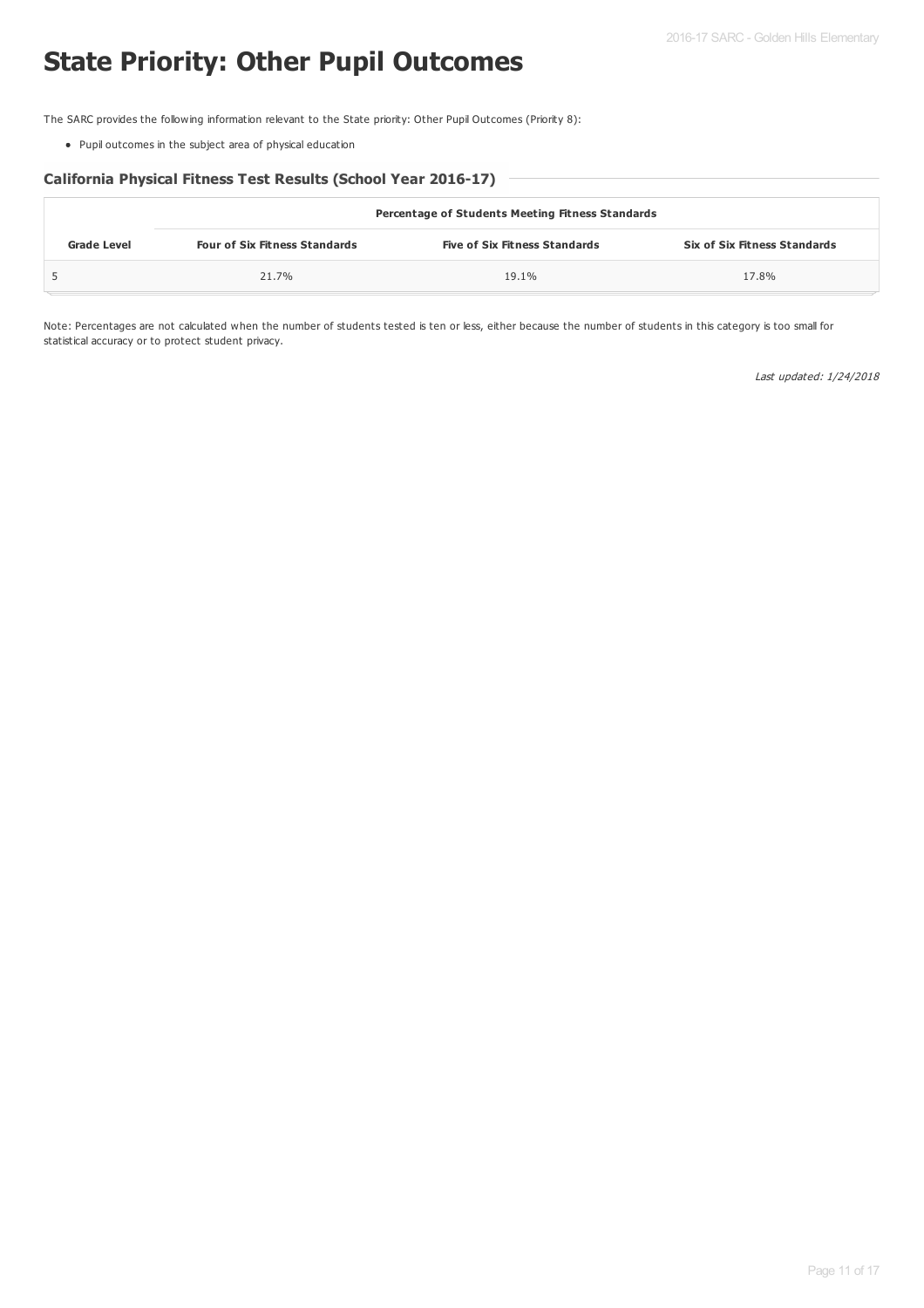# **State Priority: Other Pupil Outcomes**

The SARC provides the following information relevant to the State priority: Other Pupil Outcomes (Priority 8):

Pupil outcomes in the subject area of physical education

#### **California Physical Fitness Test Results (School Year 2016-17)**

|                    | <b>Percentage of Students Meeting Fitness Standards</b> |                                      |                                     |  |  |  |
|--------------------|---------------------------------------------------------|--------------------------------------|-------------------------------------|--|--|--|
| <b>Grade Level</b> | <b>Four of Six Fitness Standards</b>                    | <b>Five of Six Fitness Standards</b> | <b>Six of Six Fitness Standards</b> |  |  |  |
|                    | 21.7%                                                   | 19.1%                                | 17.8%                               |  |  |  |

Note: Percentages are not calculated when the number of students tested is ten or less, either because the number of students in this category is too small for statistical accuracy or to protect student privacy.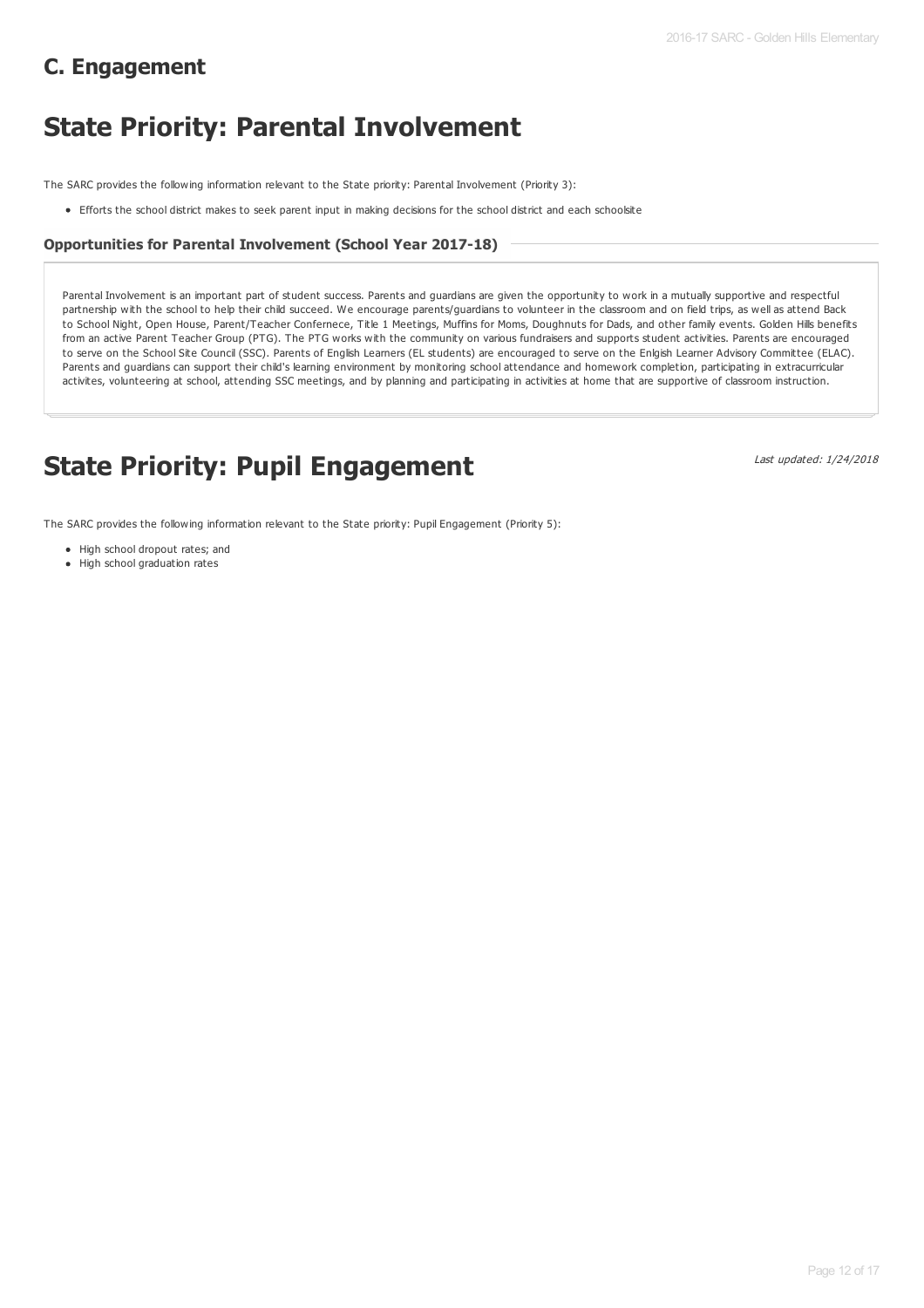# **C. Engagement**

# **State Priority: Parental Involvement**

The SARC provides the following information relevant to the State priority: Parental Involvement (Priority 3):

Efforts the school district makes to seek parent input in making decisions for the school district and each schoolsite

#### **Opportunities for Parental Involvement (School Year 2017-18)**

Parental Involvement is an important part of student success. Parents and guardians are given the opportunity to work in a mutually supportive and respectful partnership with the school to help their child succeed. We encourage parents/guardians to volunteer in the classroom and on field trips, as well as attend Back to School Night, Open House, Parent/Teacher Confernece, Title 1 Meetings, Muffins for Moms, Doughnuts for Dads, and other family events. Golden Hills benefits from an active Parent Teacher Group (PTG). The PTG works with the community on various fundraisers and supports student activities. Parents are encouraged to serve on the School Site Council (SSC). Parents of English Learners (EL students) are encouraged to serve on the Enlgish Learner Advisory Committee (ELAC). Parents and guardians can support their child's learning environment by monitoring school attendance and homework completion, participating in extracurricular activites, volunteering at school, attending SSC meetings, and by planning and participating in activities at home that are supportive of classroom instruction.

# **State Priority: Pupil Engagement**

Last updated: 1/24/2018

The SARC provides the following information relevant to the State priority: Pupil Engagement (Priority 5):

- High school dropout rates; and
- High school graduation rates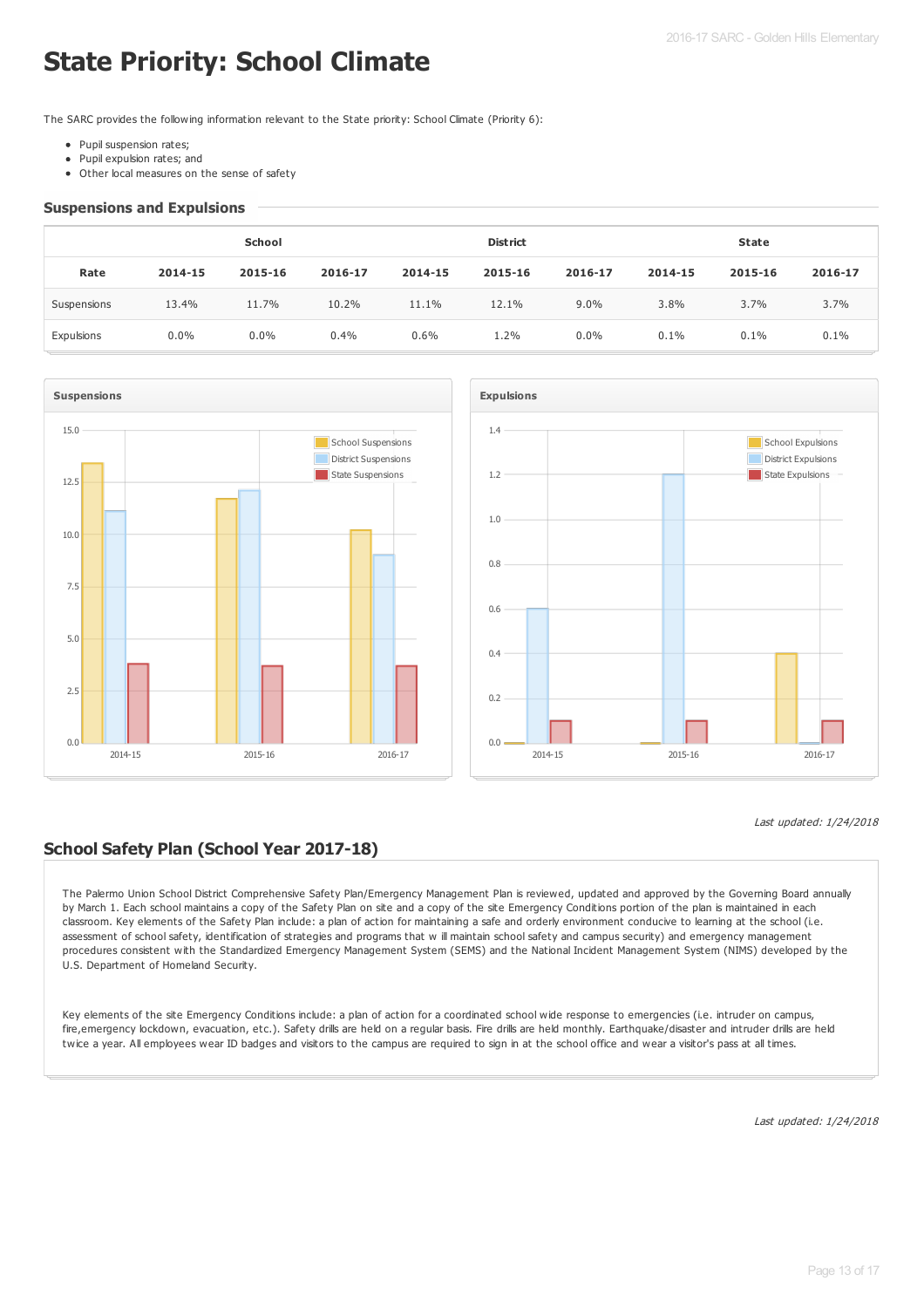# **State Priority: School Climate**

The SARC provides the following information relevant to the State priority: School Climate (Priority 6):

- Pupil suspension rates;
- Pupil expulsion rates; and  $\bullet$
- Other local measures on the sense of safety

#### **Suspensions and Expulsions**

|             | School  |         |         |         | <b>District</b> |         |         | <b>State</b> |         |  |
|-------------|---------|---------|---------|---------|-----------------|---------|---------|--------------|---------|--|
| Rate        | 2014-15 | 2015-16 | 2016-17 | 2014-15 | 2015-16         | 2016-17 | 2014-15 | 2015-16      | 2016-17 |  |
| Suspensions | 13.4%   | 11.7%   | 10.2%   | 11.1%   | 12.1%           | 9.0%    | 3.8%    | 3.7%         | 3.7%    |  |
| Expulsions  | $0.0\%$ | $0.0\%$ | 0.4%    | 0.6%    | 1.2%            | 0.0%    | 0.1%    | 0.1%         | 0.1%    |  |





## **School Safety Plan (School Year 2017-18)**

The Palermo Union School District Comprehensive Safety Plan/Emergency Management Plan is reviewed, updated and approved by the Governing Board annually by March 1. Each school maintains a copy of the Safety Plan on site and a copy of the site Emergency Conditions portion of the plan is maintained in each classroom. Key elements of the Safety Plan include: a plan of action for maintaining a safe and orderly environment conducive to learning at the school (i.e. assessment of school safety, identification of strategies and programs that w ill maintain school safety and campus security) and emergency management procedures consistent with the Standardized Emergency Management System (SEMS) and the National Incident Management System (NIMS) developed by the U.S. Department of Homeland Security.

Key elements of the site Emergency Conditions include: a plan of action for a coordinated school wide response to emergencies (i.e. intruder on campus, fire,emergency lockdown, evacuation, etc.). Safety drills are held on a regular basis. Fire drills are held monthly. Earthquake/disaster and intruder drills are held twice a year. All employees wear ID badges and visitors to the campus are required to sign in at the school office and wear a visitor's pass at all times.

Last updated: 1/24/2018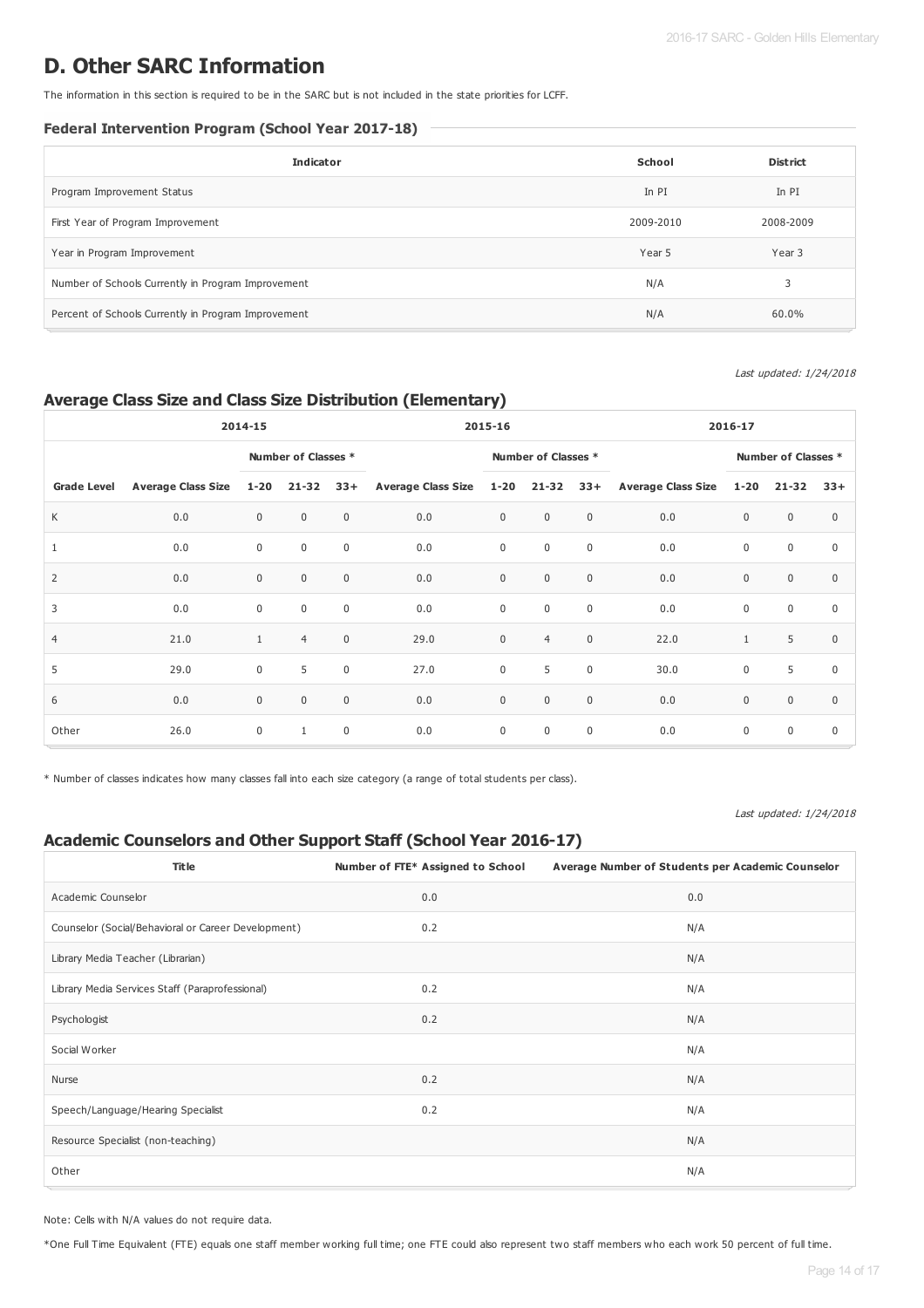# **D. Other SARC Information**

The information in this section is required to be in the SARC but is not included in the state priorities for LCFF.

#### **Federal Intervention Program (School Year 2017-18)**

| <b>Indicator</b>                                    | School    | <b>District</b> |
|-----------------------------------------------------|-----------|-----------------|
| Program Improvement Status                          | In PI     | In PI           |
| First Year of Program Improvement                   | 2009-2010 | 2008-2009       |
| Year in Program Improvement                         | Year 5    | Year 3          |
| Number of Schools Currently in Program Improvement  | N/A       | 3               |
| Percent of Schools Currently in Program Improvement | N/A       | 60.0%           |

#### Last updated: 1/24/2018

### **Average Class Size and Class Size Distribution (Elementary)**

|                    | 2014-15                   |              |                     |              | 2015-16                       |                     |                | 2016-17     |                        |                            |              |              |
|--------------------|---------------------------|--------------|---------------------|--------------|-------------------------------|---------------------|----------------|-------------|------------------------|----------------------------|--------------|--------------|
|                    |                           |              | Number of Classes * |              |                               | Number of Classes * |                |             |                        | <b>Number of Classes *</b> |              |              |
| <b>Grade Level</b> | <b>Average Class Size</b> | $1 - 20$     | $21 - 32$           | $33+$        | Average Class Size 1-20 21-32 |                     |                |             | 33+ Average Class Size | $1 - 20$                   | $21 - 32$    | $33+$        |
| K                  | 0.0                       | $\mathbf 0$  | $\mathbf 0$         | $\mathbf 0$  | 0.0                           | $\mathbf 0$         | $\mathbf 0$    | $\mathbf 0$ | 0.0                    | $\mathbf{0}$               | $\mathbf{0}$ | $\Omega$     |
| $\mathbf{1}$       | 0.0                       | $\mathbf 0$  | $\mathbf 0$         | $\mathbf 0$  | 0.0                           | $\mathbf 0$         | $\mathbf 0$    | $\mathbf 0$ | 0.0                    | $\mathsf 0$                | $\mathbf 0$  | $\mathbf 0$  |
| 2                  | 0.0                       | $\mathbf 0$  | $\mathbf 0$         | $\mathbf{0}$ | 0.0                           | $\mathbf 0$         | $\mathbf 0$    | $\mathbf 0$ | 0.0                    | $\mathbf{0}$               | $\mathbf 0$  | $\Omega$     |
| 3                  | 0.0                       | $\mathbf 0$  | $\mathbf 0$         | $\mathbf 0$  | 0.0                           | $\mathbf 0$         | $\mathsf 0$    | $\mathbb O$ | 0.0                    | $\mathsf 0$                | $\mathbf 0$  | $\mathbf{0}$ |
| $\overline{4}$     | 21.0                      | $\mathbf{1}$ | $\overline{4}$      | $\mathbf{0}$ | 29.0                          | $\mathbf 0$         | $\overline{4}$ | $\mathbf 0$ | 22.0                   | $\mathbf{1}$               | 5            | $\Omega$     |
| 5                  | 29.0                      | $\mathbf 0$  | 5                   | $\mathbf 0$  | 27.0                          | $\mathbf 0$         | 5              | $\mathbf 0$ | 30.0                   | $\mathbf 0$                | 5            | $\Omega$     |
| 6                  | 0.0                       | $\mathbf{0}$ | $\mathbf 0$         | $\mathbf{0}$ | 0.0                           | $\mathbf 0$         | $\mathbf 0$    | $\mathbf 0$ | 0.0                    | $\mathbf{0}$               | $\mathbf{0}$ | $\Omega$     |
| Other              | 26.0                      | $\mathbf 0$  | $\mathbf{1}$        | $\mathbf 0$  | 0.0                           | $\mathbf 0$         | $\mathbf 0$    | $\mathbf 0$ | 0.0                    | $\mathsf 0$                | $\mathbf 0$  | $\mathbf 0$  |

\* Number of classes indicates how many classes fall into each size category (a range of total students per class).

#### Last updated: 1/24/2018

## **Academic Counselors and Other Support Staff (School Year 2016-17)**

| <b>Title</b>                                        | Number of FTE* Assigned to School | Average Number of Students per Academic Counselor |
|-----------------------------------------------------|-----------------------------------|---------------------------------------------------|
| Academic Counselor                                  | 0.0                               | 0.0                                               |
| Counselor (Social/Behavioral or Career Development) | 0.2                               | N/A                                               |
| Library Media Teacher (Librarian)                   |                                   | N/A                                               |
| Library Media Services Staff (Paraprofessional)     | 0.2                               | N/A                                               |
| Psychologist                                        | 0.2                               | N/A                                               |
| Social Worker                                       |                                   | N/A                                               |
| Nurse                                               | 0.2                               | N/A                                               |
| Speech/Language/Hearing Specialist                  | 0.2                               | N/A                                               |
| Resource Specialist (non-teaching)                  |                                   | N/A                                               |
| Other                                               |                                   | N/A                                               |

Note: Cells with N/A values do not require data.

\*One Full Time Equivalent (FTE) equals one staff member working full time; one FTE could also represent two staff members who each work 50 percent of full time.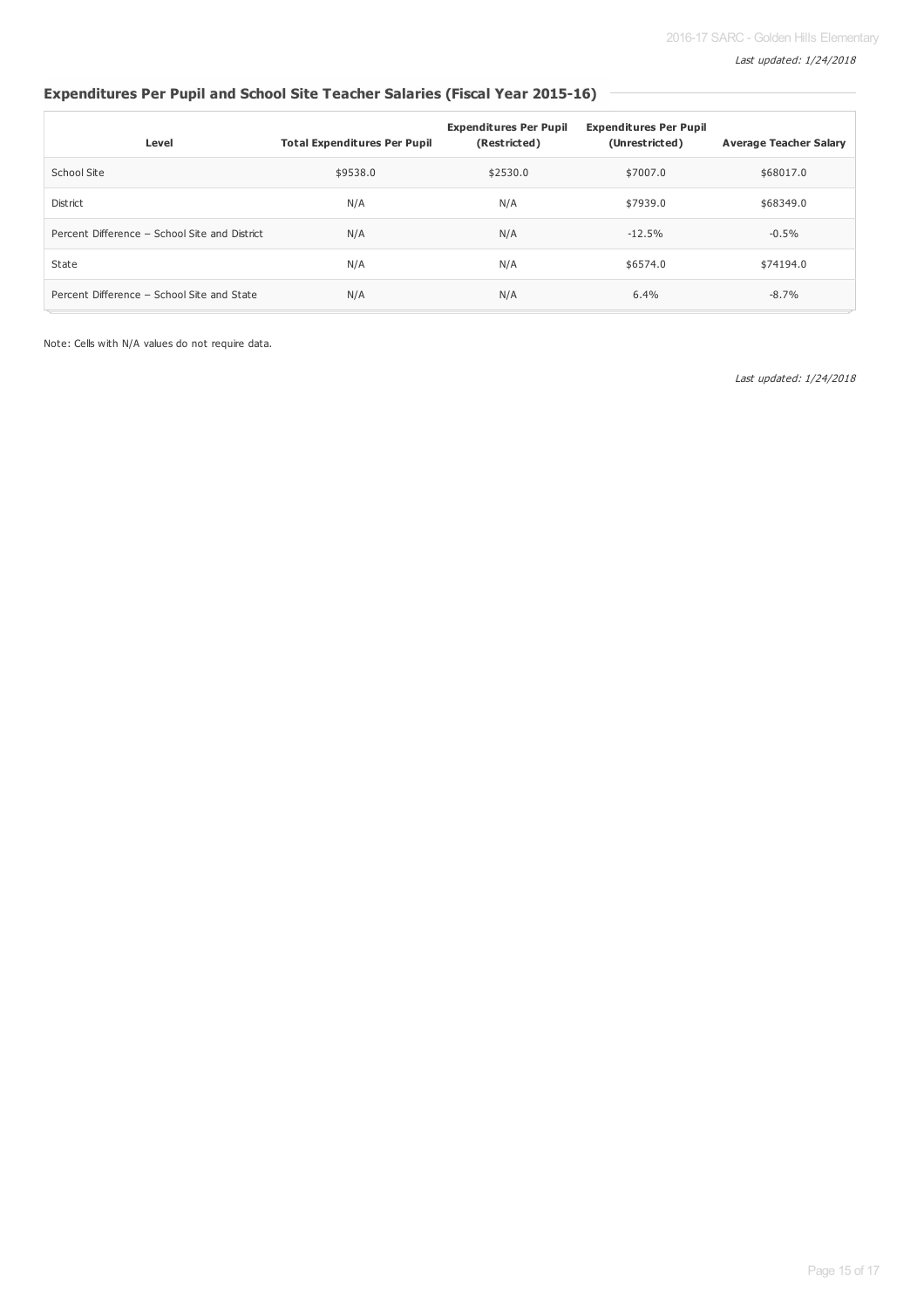## **Expenditures Per Pupil and School Site Teacher Salaries (Fiscal Year 2015-16)**

| Level                                         | <b>Total Expenditures Per Pupil</b> | <b>Expenditures Per Pupil</b><br>(Restricted) | <b>Expenditures Per Pupil</b><br>(Unrestricted) | <b>Average Teacher Salary</b> |
|-----------------------------------------------|-------------------------------------|-----------------------------------------------|-------------------------------------------------|-------------------------------|
| School Site                                   | \$9538.0                            | \$2530.0                                      | \$7007.0                                        | \$68017.0                     |
| District                                      | N/A                                 | N/A                                           | \$7939.0                                        | \$68349.0                     |
| Percent Difference - School Site and District | N/A                                 | N/A                                           | $-12.5%$                                        | $-0.5%$                       |
| State                                         | N/A                                 | N/A                                           | \$6574.0                                        | \$74194.0                     |
| Percent Difference - School Site and State    | N/A                                 | N/A                                           | 6.4%                                            | $-8.7%$                       |

Note: Cells with N/A values do not require data.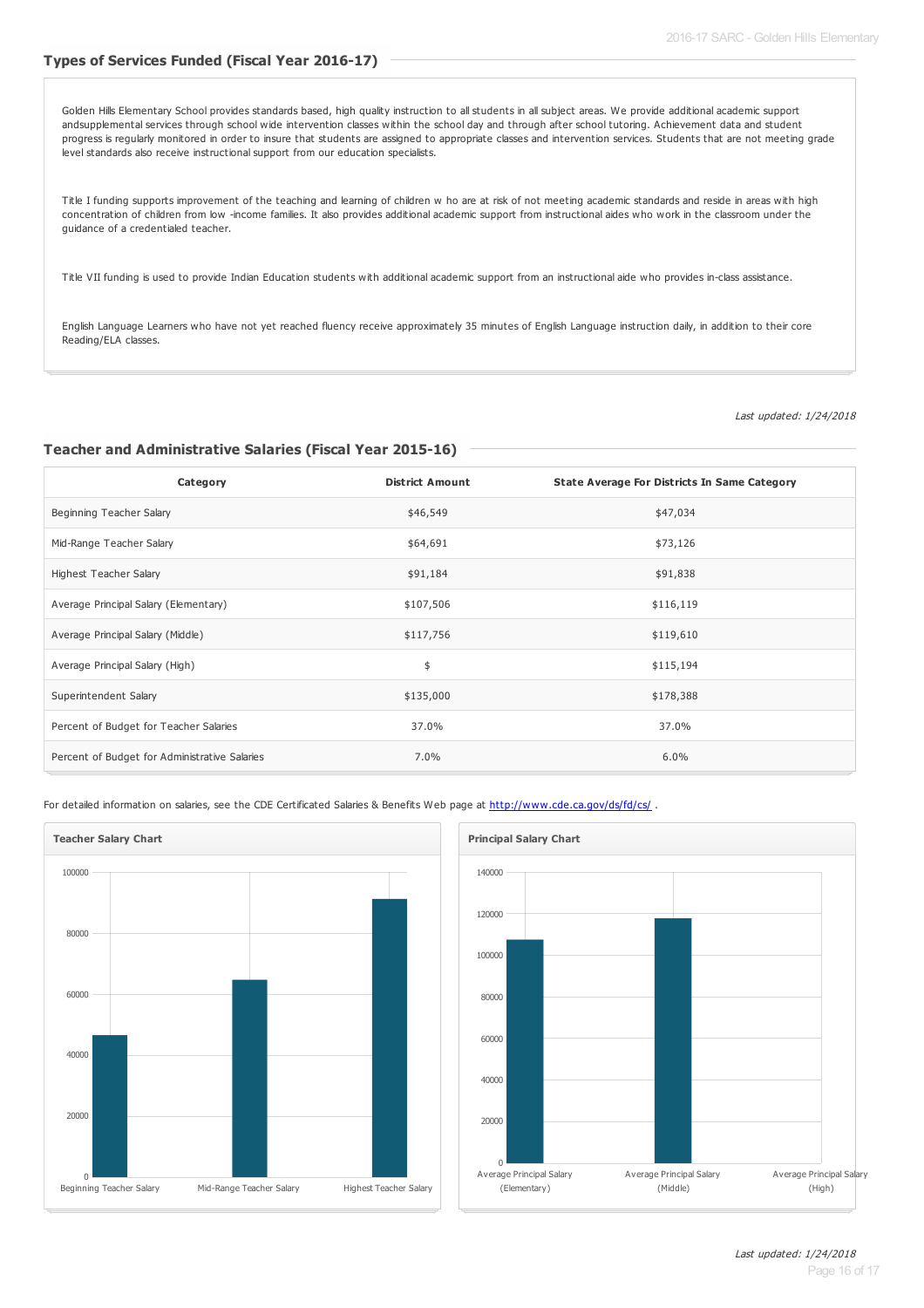#### **Types of Services Funded (Fiscal Year 2016-17)**

Golden Hills Elementary School provides standards based, high quality instruction to all students in all subject areas. We provide additional academic support andsupplemental services through school wide intervention classes within the school day and through after school tutoring. Achievement data and student progress is regularly monitored in order to insure that students are assigned to appropriate classes and intervention services. Students that are not meeting grade level standards also receive instructional support from our education specialists.

Title I funding supports improvement of the teaching and learning of children w ho are at risk of not meeting academic standards and reside in areas with high concentration of children from low -income families. It also provides additional academic support from instructional aides who work in the classroom under the guidance of a credentialed teacher.

Title VII funding is used to provide Indian Education students with additional academic support from an instructional aide who provides in-class assistance.

English Language Learners who have not yet reached fluency receive approximately 35 minutes of English Language instruction daily, in addition to their core Reading/ELA classes.

Last updated: 1/24/2018

#### **Teacher and Administrative Salaries (Fiscal Year 2015-16)**

| Category                                      | <b>District Amount</b> | <b>State Average For Districts In Same Category</b> |
|-----------------------------------------------|------------------------|-----------------------------------------------------|
| Beginning Teacher Salary                      | \$46,549               | \$47,034                                            |
| Mid-Range Teacher Salary                      | \$64,691               | \$73,126                                            |
| Highest Teacher Salary                        | \$91,184               | \$91,838                                            |
| Average Principal Salary (Elementary)         | \$107,506              | \$116,119                                           |
| Average Principal Salary (Middle)             | \$117,756              | \$119,610                                           |
| Average Principal Salary (High)               | \$                     | \$115,194                                           |
| Superintendent Salary                         | \$135,000              | \$178,388                                           |
| Percent of Budget for Teacher Salaries        | 37.0%                  | 37.0%                                               |
| Percent of Budget for Administrative Salaries | 7.0%                   | 6.0%                                                |

For detailed information on salaries, see the CDE Certificated Salaries & Benefits Web page at <http://www.cde.ca.gov/ds/fd/cs/> .